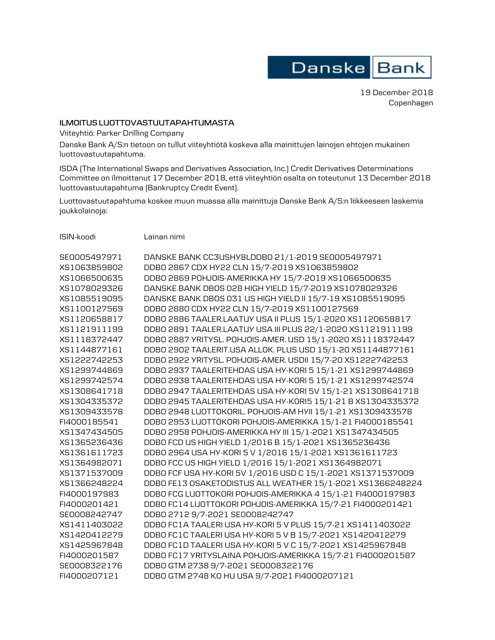

19 December 2018 Copenhagen

## **ILMOITUS LUOTTOVASTUUTAPAHTUMASTA**

Viiteyhtiö: Parker Drilling Company

Danske Bank A/S:n tietoon on tullut viiteyhtiötä koskeva alla mainittujen lainojen ehtojen mukainen luottovastuutapahtuma.

ISDA (The International Swaps and Derivatives Association, Inc.) Credit Derivatives Determinations Committee on ilmoittanut 17 December 2018, että viiteyhtiön osalta on toteutunut 13 December 2018 luottovastuutapahtuma (Bankruptcy Credit Event).

Luottovastuutapahtuma koskee muun muassa alla mainittuja Danske Bank A/S:n liikkeeseen laskemia joukkolainoja:

ISIN-koodi Lainan nimi

| SE0005497971 | DANSKE BANK CC3USHY8LDDB0 21/1-2019 SE0005497971            |
|--------------|-------------------------------------------------------------|
| XS1063859802 | DDB0 2867 CDX HY22 CLN 15/7-2019 XS1063859802               |
| XS1066500635 | DDB0 2869 POHJOIS-AMERIKKA HY 15/7-2019 XS1066500635        |
| XS1078029326 | DANSKE BANK DBOS 028 HIGH YIELD 15/7-2019 XS1078029326      |
| XS1085519095 | DANSKE BANK DBOS 031 US HIGH YIELD II 15/7-19 XS1085519095  |
| XS1100127569 | DDB0 2880 CDX HY22 CLN 15/7-2019 XS1100127569               |
| XS1120658817 | DDB0 2886 TAALER.LAATUY USA II PLUS 15/1-2020 XS1120658817  |
| XS1121911199 | DDB0 2891 TAALER.LAATUY USA III PLUS 22/1-2020 XS1121911199 |
| XS1118372447 | DDB0 2887 YRITYSL. POHJOIS-AMER. USD 15/1-2020 XS1118372447 |
| XS1144877161 | DDB0 2902 TAALERIT.USA ALLOK. PLUS USD 15/1-20 XS1144877161 |
| XS1222742253 | DDB0 2922 YRITYSL. POHJOIS-AMER. USDII 15/7-20 XS1222742253 |
| XS1299744869 | DDB0 2937 TAALERITEHDAS USA HY-KORI 5 15/1-21 XS1299744869  |
| XS1299742574 | DDB0 2938 TAALERITEHDAS USA HY-KORI 5 15/1-21 XS1299742574  |
| XS1308641718 | DDB0 2947 TAALERITEHDAS USA HY-KORI 5V 15/1-21 XS1308641718 |
| XS1304335372 | DDB0 2945 TAALERITEHDAS USA HY-KORI5 15/1-21 B XS1304335372 |
| XS1309433578 | DDB0 2948 LUOTTOKORIL. POHJOIS-AM HYII 15/1-21 XS1309433578 |
| FI4000185541 | DDB0 2953 LUOTTOKORI POHJOIS-AMERIKKA 15/1-21 FI4000185541  |
| XS1347434505 | DDB0 2958 POHJOIS-AMERIKKA HY III 15/1-2021 XS1347434505    |
| XS1365236436 | DDB0 FCD US HIGH YIELD 1/2016 B 15/1-2021 XS1365236436      |
| XS1361611723 | DDB0 2964 USA HY-KORI 5 V 1/2016 15/1-2021 XS1361611723     |
| XS1364982071 | DDB0 FCC US HIGH YIELD 1/2016 15/1-2021 XS1364982071        |
| XS1371537009 | DDB0 FCF USA HY-KORI 5V 1/2016 USD C 15/1-2021 XS1371537009 |
| XS1366248224 | DDBO FE13 OSAKETODISTUS ALL WEATHER 15/1-2021 XS1366248224  |
| FI4000197983 | DDBO FCG LUOTTOKORI POHJOIS-AMERIKKA 4 15/1-21 FI4000197983 |
| FI4000201421 | DDBO FC14 LUOTTOKORI POHJOIS-AMERIKKA 15/7-21 FI4000201421  |
| SE0008242747 | DDB0 2712 9/7-2021 SE0008242747                             |
| XS1411403022 | DDBO FC1A TAALERI USA HY-KORI 5 V PLUS 15/7-21 XS1411403022 |
| XS1420412279 | DDB0 FC1C TAALERI USA HY-KORI 5 V B 15/7-2021 XS1420412279  |
| XS1425967848 | DDB0 FC1D TAALERI USA HY-KORI 5 V C 15/7-2021 XS1425967848  |
| FI4000201587 | DDBO FC17 YRITYSLAINA POHJOIS-AMERIKKA 15/7-21 FI4000201587 |
| SE0008322176 | DDB0 GTM 2738 9/7-2021 SE0008322176                         |
| FI4000207121 | DDB0 GTM 2748 KO HU USA 9/7-2021 FI4000207121               |